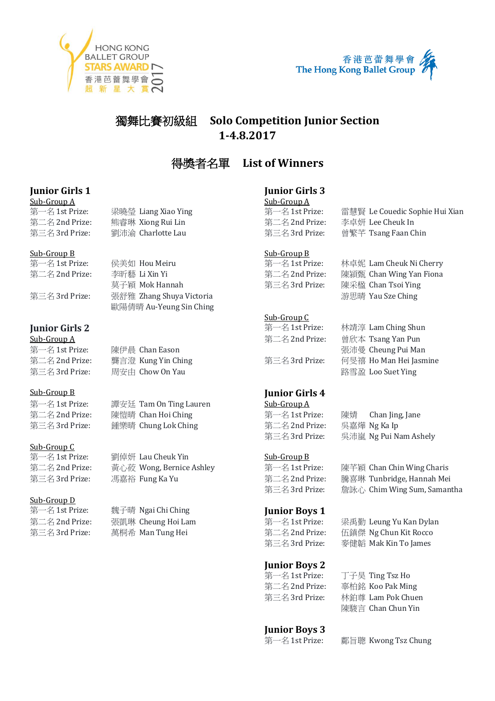



## 獨舞比賽初級組 **Solo Competition Junior Section 1-4.8.2017**

## 得獎者名單 **List of Winners**

# **Junior Girls 1 Junior Girls 1 Junior Girls 3**<br> **Junior Girls 3**<br>
Sub-Group A

 $\frac{\text{Sub-Group A}}{\text{H}-\text{A}}$  1st Prize: 第二名 2nd Prize: 熊睿琳 Xiong Rui Lin 第二名 2nd Prize: 李卓妍 Lee Cheuk In 第三名 3rd Prize: <br><sup>第三名 3rd Prize: 劉沛渝 Charlotte Lau *『*</sup>

### Sub-Group B Sub-Group B

第一名 1st Prize: 侯美如 Hou Meiru 第一名 1st Prize: 林卓妮 Lam Cheuk Ni Cherry

第三名 3rd Prize: 張舒雅 Zhang Shuya Victoria 游思晴 Yau Sze Ching

## **Junior Girls 2** 第一名 1st Prize: 林靖淳 Lam Ching Shun

### $Sub-Group\ A$

第一名 1st Prize: 陳伊晨 Chan Eason 第二名 2nd Prize: 龔言澄 Kung Yin Ching Transaction to the Tag 第三名 3rd Prize: 周安由 Chow On Yau

## Sub-Group B **Junior Girls 4**

第一名 1st Prize: 譚安廷 Tam On Ting Lauren **Sub-Group A** 第二名 2nd Prize: 陳愷晴 Chan Hoi Ching インピング 第一名 1st Prize: 陳婧 Chan Jing, Jane 第三名 3rd Prize: 鍾樂晴 Chung Lok Ching The Second Stand Prize: 吳嘉燁 Ng Ka Ip

歐陽倩晴 Au-Yeung Sin Ching

梁曉瑩 Liang Xiao Ying

### Sub-Group C

第一名 1st Prize: 劉倬妍 Lau Cheuk Yin Sub-Group B

Sub-Group D<br>第一名 1st Prize:

魏子晴 Ngai Chi Ching **Junior Boys 1** 

| <u>Jub urvup 11</u> |                                |
|---------------------|--------------------------------|
| 第一名 1st Prize:      | 雷慧賢 Le Couedic Sophie Hui Xian |
| 第二名 2nd Prize:      | 李卓妍 Lee Cheuk In               |
| 第三名 3rd Prize:      | 曾繁芊 Tsang Faan Chin            |
|                     |                                |

| 第一名 1st Prize:                                                      | 侯美如 Hou Meiru  | 第一名 1st Prize: | - 林皁妮 Lam Cheuk Ni Cherry                             |
|---------------------------------------------------------------------|----------------|----------------|-------------------------------------------------------|
| 第二名 2nd Prize:                                                      | 李昕藝 Li Xin Yi  | 第二名 2nd Prize: | 陳潁甄 Chan Wing Yan Fiona                               |
|                                                                     | 莫子穎 Mok Hannah | 第三名 3rd Prize: | 陳采楹 Chan Tsoi Ying                                    |
| $\stackrel{\text{def}}{=}$ $\phi$ $\stackrel{\text{def}}{=}$ Drigot | F E 47         |                | $\mathcal{L}$ 田哇 $V_{211}$ $C_{72}$ $C_{11}$ $C_{22}$ |

### Sub-Group C

| 第一名 1st Prize: | 林靖淳 Lam Ching Shun     |
|----------------|------------------------|
| 第二名 2nd Prize: | 曾欣本 Tsang Yan Pun      |
|                | 張沛曼 Cheung Pui Man     |
| 第三名 3rd Prize: | 何旻禧 Ho Man Hei Jasmine |
|                | 路雪盈 Loo Suet Ying      |

第三名 3rd Prize: 吳沛嵐 Ng Pui Nam Ashely

第二名 2nd Prize: 黃心莜 Wong, Bernice Ashley 第一名 1st Prize: 陳芊穎 Chan Chin Wing Charis 第三名 3rd Prize: 馮嘉裕 Fung Ka Yu 第二名 2nd Prize: 騰喜琳 Tunbridge, Hannah Mei 第三名 3rd Prize: 詹詠心 Chim Wing Sum, Samantha

第二名 2nd Prize: 張凱琳 Cheung Hoi Lam 第一名 1st Prize: 梁禹勤 Leung Yu Kan Dylan 第三名 3rd Prize: 萬桐希 Man Tung Hei  $\frac{4}{3}$  and Prize: 伍鎮傑 Ng Chun Kit Rocco 第三名 3rd Prize: 麥健韜 Mak Kin To James

## **Junior Boys 2**

第一名 1st Prize: 丁子昊 Ting Tsz Ho 第二名 2nd Prize: 辜柏銘 Koo Pak Ming 第三名 3rd Prize: 林鉑尊 Lam Pok Chuen 陳駿言 Chan Chun Yin

## **Junior Boys 3**

第一名 1st Prize: 鄺旨聰 Kwong Tsz Chung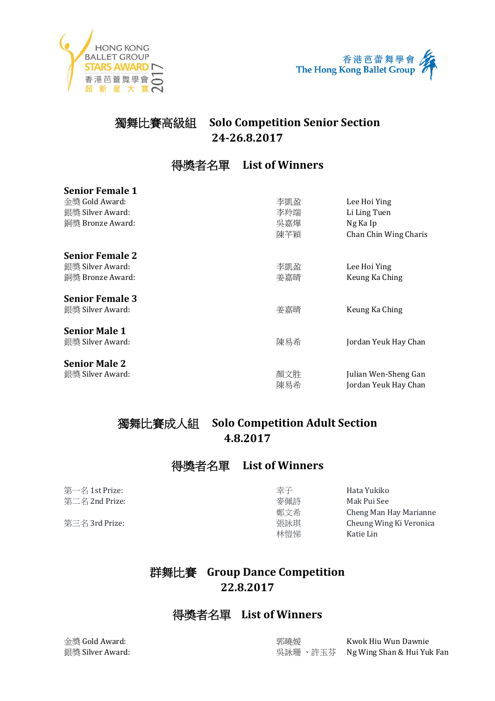



# 獨舞比賽高級組 **Solo Competition Senior Section 24-26.8.2017**

# 得獎者名單 **List of Winners**

| <b>Senior Female 1</b> |     |                       |
|------------------------|-----|-----------------------|
| 金獎 Gold Award:         | 李凱盈 | Lee Hoi Ying          |
| 銀獎 Silver Award:       | 李羚端 | Li Ling Tuen          |
| 銅獎 Bronze Award:       | 吳嘉燁 | Ng Ka Ip              |
|                        | 陳芊穎 | Chan Chin Wing Charis |
| <b>Senior Female 2</b> |     |                       |
| 銀獎 Silver Award:       | 李凱盈 | Lee Hoi Ying          |
| 銅獎 Bronze Award:       | 姜嘉晴 | Keung Ka Ching        |
| <b>Senior Female 3</b> |     |                       |
| 銀獎 Silver Award:       | 姜嘉晴 | Keung Ka Ching        |
| <b>Senior Male 1</b>   |     |                       |
| 銀獎 Silver Award:       | 陳易希 | Jordan Yeuk Hay Chan  |
| <b>Senior Male 2</b>   |     |                       |
| 銀獎 Silver Award:       | 顏文胜 | Julian Wen-Sheng Gan  |
|                        | 陳易希 | Jordan Yeuk Hay Chan  |

# 獨舞比賽成人組 **Solo Competition Adult Section 4.8.2017**

## 得獎者名單 **List of Winners**

**第一名 1st Prize: ファイン マイン しゅうしょう まんしゃ きょうしょう きょうしゅう Hata Yukiko** 第二名 2nd Prize: 麥佩詩 Mak Pui See

鄭文希 Cheng Man Hay Marianne 第三名 3rd Prize: 張詠琪 Cheung Wing Ki Veronica 林愷悌 Katie Lin

# 群舞比賽 **Group Dance Competition 22.8.2017**

## 得獎者名單 **List of Winners**

金獎 Gold Award: 郭曉媛 Kwok Hiu Wun Dawnie 銀獎 Silver Award: 吳詠珊 、許玉芬 Ng Wing Shan & Hui Yuk Fan